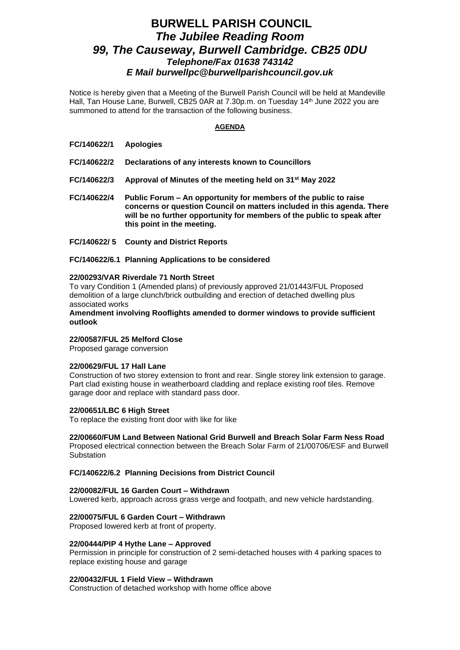# **BURWELL PARISH COUNCIL** *The Jubilee Reading Room 99, The Causeway, Burwell Cambridge. CB25 0DU Telephone/Fax 01638 743142 E Mail burwellpc@burwellparishcouncil.gov.uk*

Notice is hereby given that a Meeting of the Burwell Parish Council will be held at Mandeville Hall, Tan House Lane, Burwell, CB25 0AR at 7.30p.m. on Tuesday 14 th June 2022 you are summoned to attend for the transaction of the following business.

### **AGENDA**

- **FC/140622/1 Apologies**
- **FC/140622/2 Declarations of any interests known to Councillors**
- **FC/140622/3 Approval of Minutes of the meeting held on 31st May 2022**
- **FC/140622/4 Public Forum – An opportunity for members of the public to raise concerns or question Council on matters included in this agenda. There will be no further opportunity for members of the public to speak after this point in the meeting.**
- **FC/140622/ 5 County and District Reports**

**FC/140622/6.1 Planning Applications to be considered**

#### **22/00293/VAR Riverdale 71 North Street**

To vary Condition 1 (Amended plans) of previously approved 21/01443/FUL Proposed demolition of a large clunch/brick outbuilding and erection of detached dwelling plus associated works

**Amendment involving Rooflights amended to dormer windows to provide sufficient outlook**

### **22/00587/FUL 25 Melford Close**

Proposed garage conversion

#### **22/00629/FUL 17 Hall Lane**

Construction of two storey extension to front and rear. Single storey link extension to garage. Part clad existing house in weatherboard cladding and replace existing roof tiles. Remove garage door and replace with standard pass door.

#### **22/00651/LBC 6 High Street**

To replace the existing front door with like for like

### **22/00660/FUM Land Between National Grid Burwell and Breach Solar Farm Ness Road**

Proposed electrical connection between the Breach Solar Farm of 21/00706/ESF and Burwell **Substation** 

#### **FC/140622/6.2 Planning Decisions from District Council**

#### **22/00082/FUL 16 Garden Court – Withdrawn**

Lowered kerb, approach across grass verge and footpath, and new vehicle hardstanding.

#### **22/00075/FUL 6 Garden Court – Withdrawn**

Proposed lowered kerb at front of property.

#### **22/00444/PIP 4 Hythe Lane – Approved**

Permission in principle for construction of 2 semi-detached houses with 4 parking spaces to replace existing house and garage

### **22/00432/FUL 1 Field View – Withdrawn**

Construction of detached workshop with home office above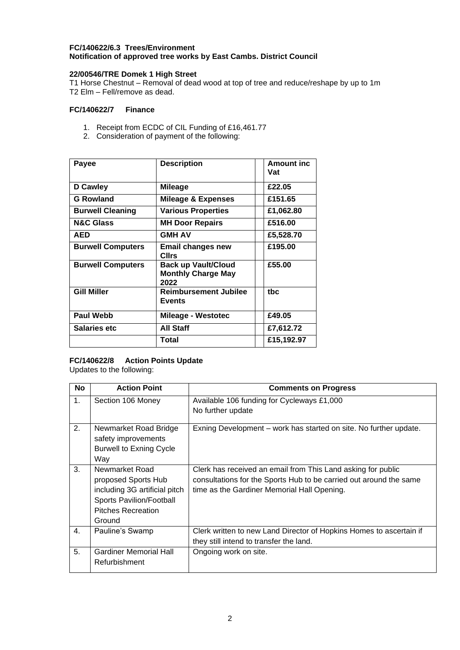# **FC/140622/6.3 Trees/Environment Notification of approved tree works by East Cambs. District Council**

# **22/00546/TRE Domek 1 High Street**

T1 Horse Chestnut – Removal of dead wood at top of tree and reduce/reshape by up to 1m T2 Elm – Fell/remove as dead.

# **FC/140622/7 Finance**

- 1. Receipt from ECDC of CIL Funding of £16,461.77
- 2. Consideration of payment of the following:

| Payee                    | <b>Description</b>                                       | <b>Amount inc.</b><br>Vat |
|--------------------------|----------------------------------------------------------|---------------------------|
| D Cawley                 | Mileage                                                  | £22.05                    |
| <b>G Rowland</b>         | <b>Mileage &amp; Expenses</b>                            | £151.65                   |
| <b>Burwell Cleaning</b>  | <b>Various Properties</b>                                | £1,062.80                 |
| <b>N&amp;C Glass</b>     | MH Door Repairs                                          | £516.00                   |
| AED                      | <b>GMH AV</b>                                            | £5,528.70                 |
| <b>Burwell Computers</b> | Email changes new<br>CIIrs                               | £195.00                   |
| <b>Burwell Computers</b> | Back up Vault/Cloud<br><b>Monthly Charge May</b><br>2022 | £55.00                    |
| <b>Gill Miller</b>       | Reimbursement Jubilee<br><b>Events</b>                   | tbc                       |
| <b>Paul Webb</b>         | <b>Mileage - Westotec</b>                                | £49.05                    |
| <b>Salaries etc</b>      | <b>All Staff</b>                                         | £7,612.72                 |
|                          | Total                                                    | £15,192.97                |

# **FC/140622/8 Action Points Update**

Updates to the following:

| <b>No</b>      | <b>Action Point</b>                                                                                                                       | <b>Comments on Progress</b>                                                                                                                                                       |
|----------------|-------------------------------------------------------------------------------------------------------------------------------------------|-----------------------------------------------------------------------------------------------------------------------------------------------------------------------------------|
| 1.             | Section 106 Money                                                                                                                         | Available 106 funding for Cycleways £1,000<br>No further update                                                                                                                   |
| 2.             | Newmarket Road Bridge<br>safety improvements<br><b>Burwell to Exning Cycle</b><br>Way                                                     | Exning Development – work has started on site. No further update.                                                                                                                 |
| 3.             | Newmarket Road<br>proposed Sports Hub<br>including 3G artificial pitch<br>Sports Pavilion/Football<br><b>Pitches Recreation</b><br>Ground | Clerk has received an email from This Land asking for public<br>consultations for the Sports Hub to be carried out around the same<br>time as the Gardiner Memorial Hall Opening. |
| $\mathbf{4}$ . | Pauline's Swamp                                                                                                                           | Clerk written to new Land Director of Hopkins Homes to ascertain if<br>they still intend to transfer the land.                                                                    |
| 5.             | <b>Gardiner Memorial Hall</b><br>Refurbishment                                                                                            | Ongoing work on site.                                                                                                                                                             |